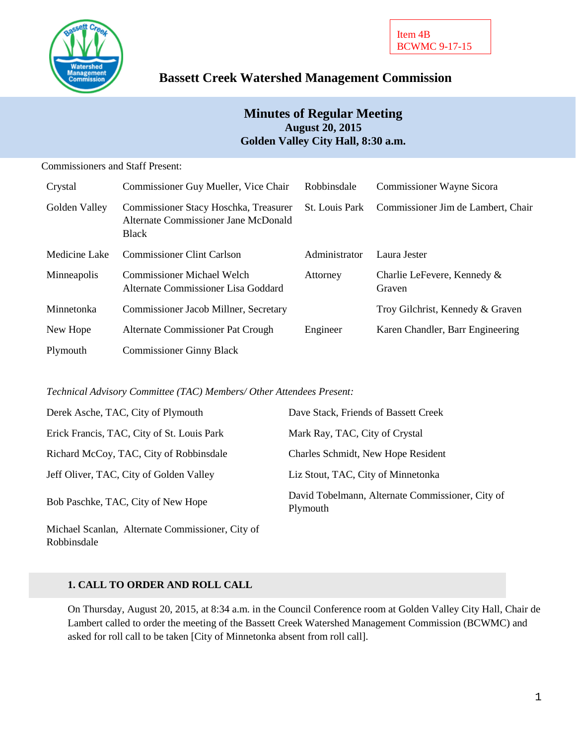

# **Bassett Creek Watershed Management Commission**

# **Minutes of Regular Meeting August 20, 2015 Golden Valley City Hall, 8:30 a.m.**

| <b>Commissioners and Staff Present:</b> |                                                                                        |                       |                                       |
|-----------------------------------------|----------------------------------------------------------------------------------------|-----------------------|---------------------------------------|
| Crystal                                 | Commissioner Guy Mueller, Vice Chair                                                   | Robbinsdale           | Commissioner Wayne Sicora             |
| Golden Valley                           | Commissioner Stacy Hoschka, Treasurer<br>Alternate Commissioner Jane McDonald<br>Black | <b>St.</b> Louis Park | Commissioner Jim de Lambert, Chair    |
| Medicine Lake                           | <b>Commissioner Clint Carlson</b>                                                      | Administrator         | Laura Jester                          |
| Minneapolis                             | <b>Commissioner Michael Welch</b><br>Alternate Commissioner Lisa Goddard               | Attorney              | Charlie LeFevere, Kennedy &<br>Graven |
| Minnetonka                              | Commissioner Jacob Millner, Secretary                                                  |                       | Troy Gilchrist, Kennedy & Graven      |
| New Hope                                | Alternate Commissioner Pat Crough                                                      | Engineer              | Karen Chandler, Barr Engineering      |
| Plymouth                                | <b>Commissioner Ginny Black</b>                                                        |                       |                                       |

*Technical Advisory Committee (TAC) Members/ Other Attendees Present:*

| Derek Asche, TAC, City of Plymouth         | Dave Stack, Friends of Bassett Creek                         |
|--------------------------------------------|--------------------------------------------------------------|
| Erick Francis, TAC, City of St. Louis Park | Mark Ray, TAC, City of Crystal                               |
| Richard McCoy, TAC, City of Robbinsdale    | Charles Schmidt, New Hope Resident                           |
| Jeff Oliver, TAC, City of Golden Valley    | Liz Stout, TAC, City of Minnetonka                           |
| Bob Paschke, TAC, City of New Hope         | David Tobelmann, Alternate Commissioner, City of<br>Plymouth |

Michael Scanlan, Alternate Commissioner, City of Robbinsdale

### **1. CALL TO ORDER AND ROLL CALL**

On Thursday, August 20, 2015, at 8:34 a.m. in the Council Conference room at Golden Valley City Hall, Chair de Lambert called to order the meeting of the Bassett Creek Watershed Management Commission (BCWMC) and asked for roll call to be taken [City of Minnetonka absent from roll call].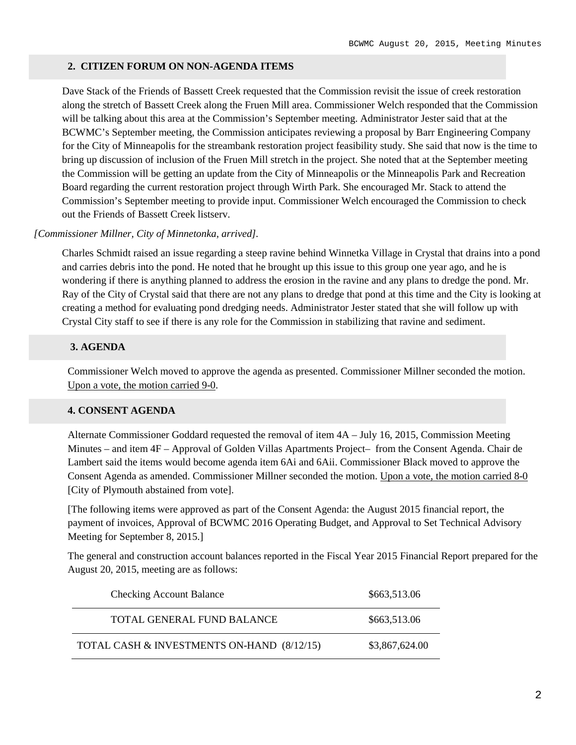#### **2. CITIZEN FORUM ON NON-AGENDA ITEMS**

Dave Stack of the Friends of Bassett Creek requested that the Commission revisit the issue of creek restoration along the stretch of Bassett Creek along the Fruen Mill area. Commissioner Welch responded that the Commission will be talking about this area at the Commission's September meeting. Administrator Jester said that at the BCWMC's September meeting, the Commission anticipates reviewing a proposal by Barr Engineering Company for the City of Minneapolis for the streambank restoration project feasibility study. She said that now is the time to bring up discussion of inclusion of the Fruen Mill stretch in the project. She noted that at the September meeting the Commission will be getting an update from the City of Minneapolis or the Minneapolis Park and Recreation Board regarding the current restoration project through Wirth Park. She encouraged Mr. Stack to attend the Commission's September meeting to provide input. Commissioner Welch encouraged the Commission to check out the Friends of Bassett Creek listserv.

### *[Commissioner Millner, City of Minnetonka, arrived].*

Charles Schmidt raised an issue regarding a steep ravine behind Winnetka Village in Crystal that drains into a pond and carries debris into the pond. He noted that he brought up this issue to this group one year ago, and he is wondering if there is anything planned to address the erosion in the ravine and any plans to dredge the pond. Mr. Ray of the City of Crystal said that there are not any plans to dredge that pond at this time and the City is looking at creating a method for evaluating pond dredging needs. Administrator Jester stated that she will follow up with Crystal City staff to see if there is any role for the Commission in stabilizing that ravine and sediment.

### **3. AGENDA**

Commissioner Welch moved to approve the agenda as presented. Commissioner Millner seconded the motion. Upon a vote, the motion carried 9-0.

### **4. CONSENT AGENDA**

Alternate Commissioner Goddard requested the removal of item 4A – July 16, 2015, Commission Meeting Minutes – and item 4F – Approval of Golden Villas Apartments Project– from the Consent Agenda. Chair de Lambert said the items would become agenda item 6Ai and 6Aii. Commissioner Black moved to approve the Consent Agenda as amended. Commissioner Millner seconded the motion. Upon a vote, the motion carried 8-0 [City of Plymouth abstained from vote].

[The following items were approved as part of the Consent Agenda: the August 2015 financial report, the payment of invoices, Approval of BCWMC 2016 Operating Budget, and Approval to Set Technical Advisory Meeting for September 8, 2015.]

The general and construction account balances reported in the Fiscal Year 2015 Financial Report prepared for the August 20, 2015, meeting are as follows:

| <b>Checking Account Balance</b>            | \$663,513.06   |
|--------------------------------------------|----------------|
| TOTAL GENERAL FUND BALANCE                 | \$663,513.06   |
| TOTAL CASH & INVESTMENTS ON-HAND (8/12/15) | \$3,867,624.00 |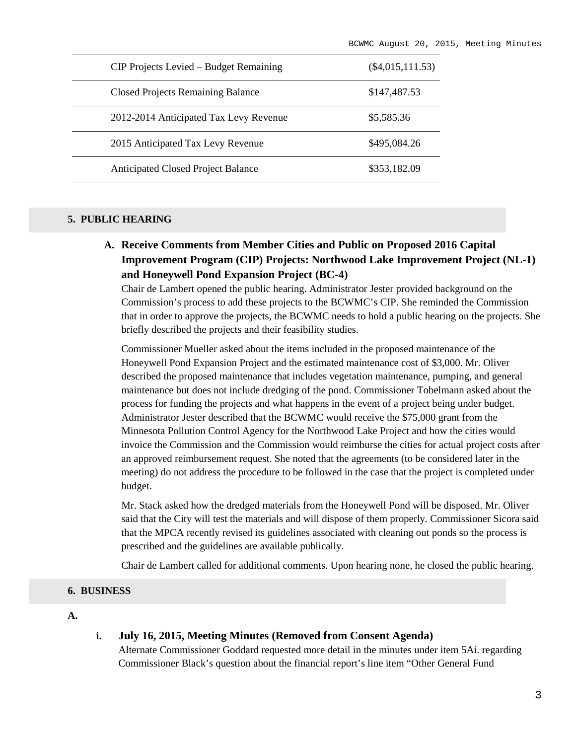| CIP Projects Levied – Budget Remaining    | $(\$4,015,111.53)$ |
|-------------------------------------------|--------------------|
| <b>Closed Projects Remaining Balance</b>  | \$147,487.53       |
| 2012-2014 Anticipated Tax Levy Revenue    | \$5,585.36         |
| 2015 Anticipated Tax Levy Revenue         | \$495,084.26       |
| <b>Anticipated Closed Project Balance</b> | \$353,182.09       |

### **5. PUBLIC HEARING**

**A. Receive Comments from Member Cities and Public on Proposed 2016 Capital Improvement Program (CIP) Projects: Northwood Lake Improvement Project (NL-1) and Honeywell Pond Expansion Project (BC-4)**

Chair de Lambert opened the public hearing. Administrator Jester provided background on the Commission's process to add these projects to the BCWMC's CIP. She reminded the Commission that in order to approve the projects, the BCWMC needs to hold a public hearing on the projects. She briefly described the projects and their feasibility studies.

Commissioner Mueller asked about the items included in the proposed maintenance of the Honeywell Pond Expansion Project and the estimated maintenance cost of \$3,000. Mr. Oliver described the proposed maintenance that includes vegetation maintenance, pumping, and general maintenance but does not include dredging of the pond. Commissioner Tobelmann asked about the process for funding the projects and what happens in the event of a project being under budget. Administrator Jester described that the BCWMC would receive the \$75,000 grant from the Minnesota Pollution Control Agency for the Northwood Lake Project and how the cities would invoice the Commission and the Commission would reimburse the cities for actual project costs after an approved reimbursement request. She noted that the agreements (to be considered later in the meeting) do not address the procedure to be followed in the case that the project is completed under budget.

Mr. Stack asked how the dredged materials from the Honeywell Pond will be disposed. Mr. Oliver said that the City will test the materials and will dispose of them properly. Commissioner Sicora said that the MPCA recently revised its guidelines associated with cleaning out ponds so the process is prescribed and the guidelines are available publically.

Chair de Lambert called for additional comments. Upon hearing none, he closed the public hearing.

#### **6. BUSINESS**

#### **A.**

### **i. July 16, 2015, Meeting Minutes (Removed from Consent Agenda)**

Alternate Commissioner Goddard requested more detail in the minutes under item 5Ai. regarding Commissioner Black's question about the financial report's line item "Other General Fund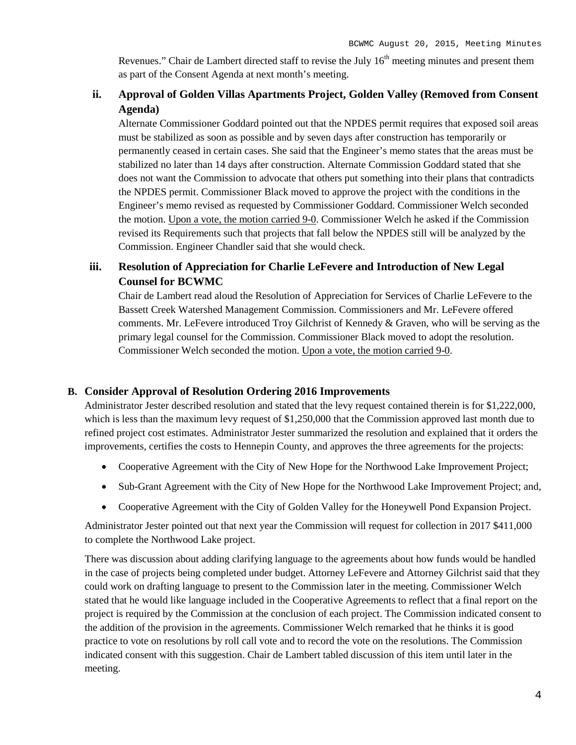Revenues." Chair de Lambert directed staff to revise the July  $16<sup>th</sup>$  meeting minutes and present them as part of the Consent Agenda at next month's meeting.

## **ii. Approval of Golden Villas Apartments Project, Golden Valley (Removed from Consent Agenda)**

Alternate Commissioner Goddard pointed out that the NPDES permit requires that exposed soil areas must be stabilized as soon as possible and by seven days after construction has temporarily or permanently ceased in certain cases. She said that the Engineer's memo states that the areas must be stabilized no later than 14 days after construction. Alternate Commission Goddard stated that she does not want the Commission to advocate that others put something into their plans that contradicts the NPDES permit. Commissioner Black moved to approve the project with the conditions in the Engineer's memo revised as requested by Commissioner Goddard. Commissioner Welch seconded the motion. Upon a vote, the motion carried 9-0. Commissioner Welch he asked if the Commission revised its Requirements such that projects that fall below the NPDES still will be analyzed by the Commission. Engineer Chandler said that she would check.

# **iii. Resolution of Appreciation for Charlie LeFevere and Introduction of New Legal Counsel for BCWMC**

Chair de Lambert read aloud the Resolution of Appreciation for Services of Charlie LeFevere to the Bassett Creek Watershed Management Commission. Commissioners and Mr. LeFevere offered comments. Mr. LeFevere introduced Troy Gilchrist of Kennedy & Graven, who will be serving as the primary legal counsel for the Commission. Commissioner Black moved to adopt the resolution. Commissioner Welch seconded the motion. Upon a vote, the motion carried 9-0.

### **B. Consider Approval of Resolution Ordering 2016 Improvements**

Administrator Jester described resolution and stated that the levy request contained therein is for \$1,222,000, which is less than the maximum levy request of \$1,250,000 that the Commission approved last month due to refined project cost estimates. Administrator Jester summarized the resolution and explained that it orders the improvements, certifies the costs to Hennepin County, and approves the three agreements for the projects:

- Cooperative Agreement with the City of New Hope for the Northwood Lake Improvement Project;
- Sub-Grant Agreement with the City of New Hope for the Northwood Lake Improvement Project; and,
- Cooperative Agreement with the City of Golden Valley for the Honeywell Pond Expansion Project.

Administrator Jester pointed out that next year the Commission will request for collection in 2017 \$411,000 to complete the Northwood Lake project.

There was discussion about adding clarifying language to the agreements about how funds would be handled in the case of projects being completed under budget. Attorney LeFevere and Attorney Gilchrist said that they could work on drafting language to present to the Commission later in the meeting. Commissioner Welch stated that he would like language included in the Cooperative Agreements to reflect that a final report on the project is required by the Commission at the conclusion of each project. The Commission indicated consent to the addition of the provision in the agreements. Commissioner Welch remarked that he thinks it is good practice to vote on resolutions by roll call vote and to record the vote on the resolutions. The Commission indicated consent with this suggestion. Chair de Lambert tabled discussion of this item until later in the meeting.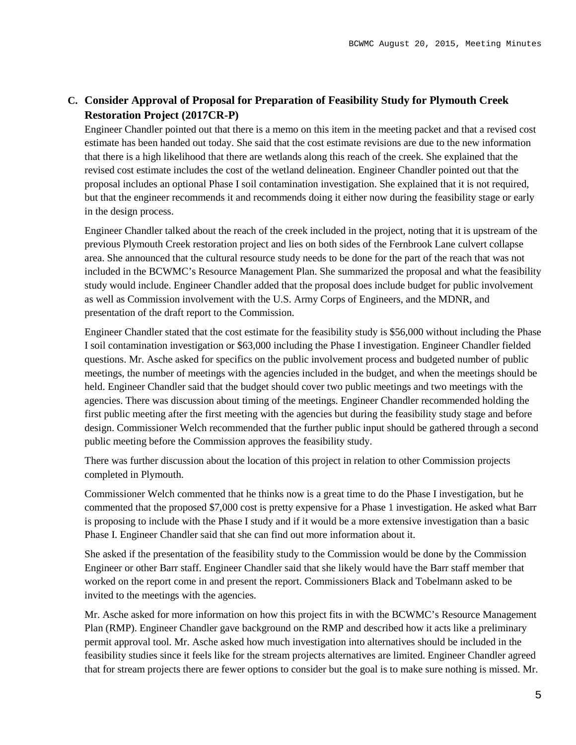## **C. Consider Approval of Proposal for Preparation of Feasibility Study for Plymouth Creek Restoration Project (2017CR-P)**

Engineer Chandler pointed out that there is a memo on this item in the meeting packet and that a revised cost estimate has been handed out today. She said that the cost estimate revisions are due to the new information that there is a high likelihood that there are wetlands along this reach of the creek. She explained that the revised cost estimate includes the cost of the wetland delineation. Engineer Chandler pointed out that the proposal includes an optional Phase I soil contamination investigation. She explained that it is not required, but that the engineer recommends it and recommends doing it either now during the feasibility stage or early in the design process.

Engineer Chandler talked about the reach of the creek included in the project, noting that it is upstream of the previous Plymouth Creek restoration project and lies on both sides of the Fernbrook Lane culvert collapse area. She announced that the cultural resource study needs to be done for the part of the reach that was not included in the BCWMC's Resource Management Plan. She summarized the proposal and what the feasibility study would include. Engineer Chandler added that the proposal does include budget for public involvement as well as Commission involvement with the U.S. Army Corps of Engineers, and the MDNR, and presentation of the draft report to the Commission.

Engineer Chandler stated that the cost estimate for the feasibility study is \$56,000 without including the Phase I soil contamination investigation or \$63,000 including the Phase I investigation. Engineer Chandler fielded questions. Mr. Asche asked for specifics on the public involvement process and budgeted number of public meetings, the number of meetings with the agencies included in the budget, and when the meetings should be held. Engineer Chandler said that the budget should cover two public meetings and two meetings with the agencies. There was discussion about timing of the meetings. Engineer Chandler recommended holding the first public meeting after the first meeting with the agencies but during the feasibility study stage and before design. Commissioner Welch recommended that the further public input should be gathered through a second public meeting before the Commission approves the feasibility study.

There was further discussion about the location of this project in relation to other Commission projects completed in Plymouth.

Commissioner Welch commented that he thinks now is a great time to do the Phase I investigation, but he commented that the proposed \$7,000 cost is pretty expensive for a Phase 1 investigation. He asked what Barr is proposing to include with the Phase I study and if it would be a more extensive investigation than a basic Phase I. Engineer Chandler said that she can find out more information about it.

She asked if the presentation of the feasibility study to the Commission would be done by the Commission Engineer or other Barr staff. Engineer Chandler said that she likely would have the Barr staff member that worked on the report come in and present the report. Commissioners Black and Tobelmann asked to be invited to the meetings with the agencies.

Mr. Asche asked for more information on how this project fits in with the BCWMC's Resource Management Plan (RMP). Engineer Chandler gave background on the RMP and described how it acts like a preliminary permit approval tool. Mr. Asche asked how much investigation into alternatives should be included in the feasibility studies since it feels like for the stream projects alternatives are limited. Engineer Chandler agreed that for stream projects there are fewer options to consider but the goal is to make sure nothing is missed. Mr.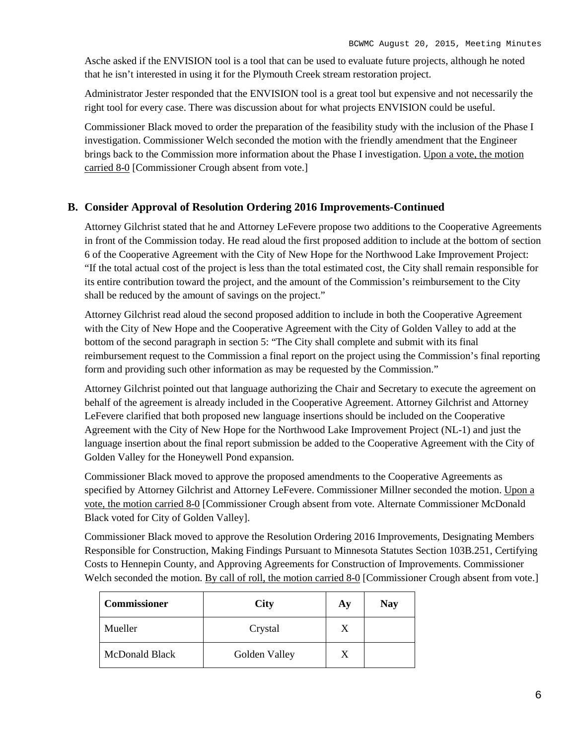Asche asked if the ENVISION tool is a tool that can be used to evaluate future projects, although he noted that he isn't interested in using it for the Plymouth Creek stream restoration project.

Administrator Jester responded that the ENVISION tool is a great tool but expensive and not necessarily the right tool for every case. There was discussion about for what projects ENVISION could be useful.

Commissioner Black moved to order the preparation of the feasibility study with the inclusion of the Phase I investigation. Commissioner Welch seconded the motion with the friendly amendment that the Engineer brings back to the Commission more information about the Phase I investigation. Upon a vote, the motion carried 8-0 [Commissioner Crough absent from vote.]

### **B. Consider Approval of Resolution Ordering 2016 Improvements-Continued**

Attorney Gilchrist stated that he and Attorney LeFevere propose two additions to the Cooperative Agreements in front of the Commission today. He read aloud the first proposed addition to include at the bottom of section 6 of the Cooperative Agreement with the City of New Hope for the Northwood Lake Improvement Project: "If the total actual cost of the project is less than the total estimated cost, the City shall remain responsible for its entire contribution toward the project, and the amount of the Commission's reimbursement to the City shall be reduced by the amount of savings on the project."

Attorney Gilchrist read aloud the second proposed addition to include in both the Cooperative Agreement with the City of New Hope and the Cooperative Agreement with the City of Golden Valley to add at the bottom of the second paragraph in section 5: "The City shall complete and submit with its final reimbursement request to the Commission a final report on the project using the Commission's final reporting form and providing such other information as may be requested by the Commission."

Attorney Gilchrist pointed out that language authorizing the Chair and Secretary to execute the agreement on behalf of the agreement is already included in the Cooperative Agreement. Attorney Gilchrist and Attorney LeFevere clarified that both proposed new language insertions should be included on the Cooperative Agreement with the City of New Hope for the Northwood Lake Improvement Project (NL-1) and just the language insertion about the final report submission be added to the Cooperative Agreement with the City of Golden Valley for the Honeywell Pond expansion.

Commissioner Black moved to approve the proposed amendments to the Cooperative Agreements as specified by Attorney Gilchrist and Attorney LeFevere. Commissioner Millner seconded the motion. Upon a vote, the motion carried 8-0 [Commissioner Crough absent from vote. Alternate Commissioner McDonald Black voted for City of Golden Valley].

Commissioner Black moved to approve the Resolution Ordering 2016 Improvements, Designating Members Responsible for Construction, Making Findings Pursuant to Minnesota Statutes Section 103B.251, Certifying Costs to Hennepin County, and Approving Agreements for Construction of Improvements. Commissioner Welch seconded the motion. By call of roll, the motion carried 8-0 [Commissioner Crough absent from vote.]

| <b>Commissioner</b> | <b>City</b>   | Ay | <b>Nay</b> |
|---------------------|---------------|----|------------|
| Mueller             | Crystal       | X  |            |
| McDonald Black      | Golden Valley | X  |            |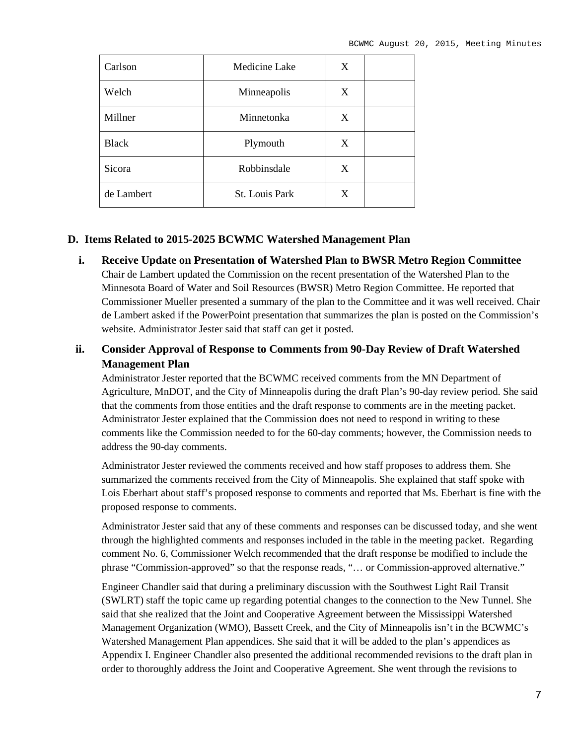| Carlson      | Medicine Lake         | X |  |
|--------------|-----------------------|---|--|
| Welch        | Minneapolis           | X |  |
| Millner      | Minnetonka            | X |  |
| <b>Black</b> | Plymouth              | X |  |
| Sicora       | Robbinsdale           | X |  |
| de Lambert   | <b>St. Louis Park</b> | X |  |

### **D. Items Related to 2015-2025 BCWMC Watershed Management Plan**

**i. Receive Update on Presentation of Watershed Plan to BWSR Metro Region Committee** Chair de Lambert updated the Commission on the recent presentation of the Watershed Plan to the Minnesota Board of Water and Soil Resources (BWSR) Metro Region Committee. He reported that Commissioner Mueller presented a summary of the plan to the Committee and it was well received. Chair de Lambert asked if the PowerPoint presentation that summarizes the plan is posted on the Commission's website. Administrator Jester said that staff can get it posted.

### **ii. Consider Approval of Response to Comments from 90-Day Review of Draft Watershed Management Plan**

Administrator Jester reported that the BCWMC received comments from the MN Department of Agriculture, MnDOT, and the City of Minneapolis during the draft Plan's 90-day review period. She said that the comments from those entities and the draft response to comments are in the meeting packet. Administrator Jester explained that the Commission does not need to respond in writing to these comments like the Commission needed to for the 60-day comments; however, the Commission needs to address the 90-day comments.

Administrator Jester reviewed the comments received and how staff proposes to address them. She summarized the comments received from the City of Minneapolis. She explained that staff spoke with Lois Eberhart about staff's proposed response to comments and reported that Ms. Eberhart is fine with the proposed response to comments.

Administrator Jester said that any of these comments and responses can be discussed today, and she went through the highlighted comments and responses included in the table in the meeting packet. Regarding comment No. 6, Commissioner Welch recommended that the draft response be modified to include the phrase "Commission-approved" so that the response reads, "… or Commission-approved alternative."

Engineer Chandler said that during a preliminary discussion with the Southwest Light Rail Transit (SWLRT) staff the topic came up regarding potential changes to the connection to the New Tunnel. She said that she realized that the Joint and Cooperative Agreement between the Mississippi Watershed Management Organization (WMO), Bassett Creek, and the City of Minneapolis isn't in the BCWMC's Watershed Management Plan appendices. She said that it will be added to the plan's appendices as Appendix I. Engineer Chandler also presented the additional recommended revisions to the draft plan in order to thoroughly address the Joint and Cooperative Agreement. She went through the revisions to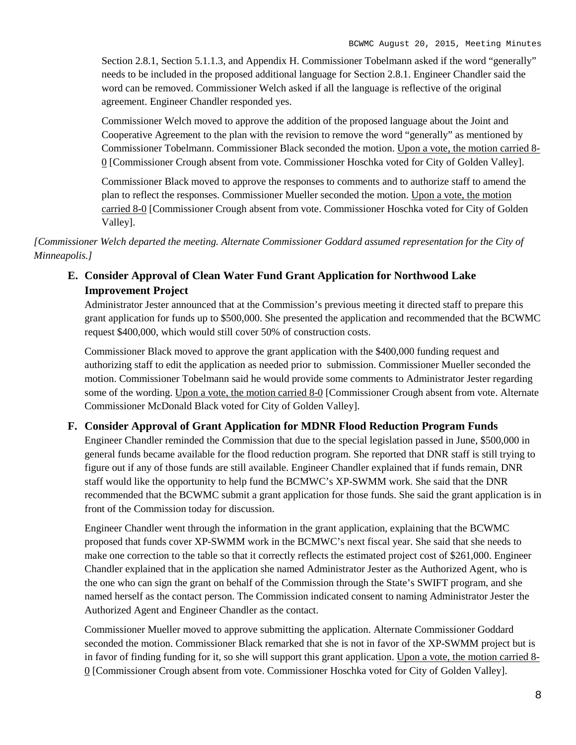Section 2.8.1, Section 5.1.1.3, and Appendix H. Commissioner Tobelmann asked if the word "generally" needs to be included in the proposed additional language for Section 2.8.1. Engineer Chandler said the word can be removed. Commissioner Welch asked if all the language is reflective of the original agreement. Engineer Chandler responded yes.

Commissioner Welch moved to approve the addition of the proposed language about the Joint and Cooperative Agreement to the plan with the revision to remove the word "generally" as mentioned by Commissioner Tobelmann. Commissioner Black seconded the motion. Upon a vote, the motion carried 8- 0 [Commissioner Crough absent from vote. Commissioner Hoschka voted for City of Golden Valley].

Commissioner Black moved to approve the responses to comments and to authorize staff to amend the plan to reflect the responses. Commissioner Mueller seconded the motion. Upon a vote, the motion carried 8-0 [Commissioner Crough absent from vote. Commissioner Hoschka voted for City of Golden Valley].

*[Commissioner Welch departed the meeting. Alternate Commissioner Goddard assumed representation for the City of Minneapolis.]*

### **E. Consider Approval of Clean Water Fund Grant Application for Northwood Lake Improvement Project**

Administrator Jester announced that at the Commission's previous meeting it directed staff to prepare this grant application for funds up to \$500,000. She presented the application and recommended that the BCWMC request \$400,000, which would still cover 50% of construction costs.

Commissioner Black moved to approve the grant application with the \$400,000 funding request and authorizing staff to edit the application as needed prior to submission. Commissioner Mueller seconded the motion. Commissioner Tobelmann said he would provide some comments to Administrator Jester regarding some of the wording. Upon a vote, the motion carried 8-0 [Commissioner Crough absent from vote. Alternate Commissioner McDonald Black voted for City of Golden Valley].

### **F. Consider Approval of Grant Application for MDNR Flood Reduction Program Funds**

Engineer Chandler reminded the Commission that due to the special legislation passed in June, \$500,000 in general funds became available for the flood reduction program. She reported that DNR staff is still trying to figure out if any of those funds are still available. Engineer Chandler explained that if funds remain, DNR staff would like the opportunity to help fund the BCMWC's XP-SWMM work. She said that the DNR recommended that the BCWMC submit a grant application for those funds. She said the grant application is in front of the Commission today for discussion.

Engineer Chandler went through the information in the grant application, explaining that the BCWMC proposed that funds cover XP-SWMM work in the BCMWC's next fiscal year. She said that she needs to make one correction to the table so that it correctly reflects the estimated project cost of \$261,000. Engineer Chandler explained that in the application she named Administrator Jester as the Authorized Agent, who is the one who can sign the grant on behalf of the Commission through the State's SWIFT program, and she named herself as the contact person. The Commission indicated consent to naming Administrator Jester the Authorized Agent and Engineer Chandler as the contact.

Commissioner Mueller moved to approve submitting the application. Alternate Commissioner Goddard seconded the motion. Commissioner Black remarked that she is not in favor of the XP-SWMM project but is in favor of finding funding for it, so she will support this grant application. Upon a vote, the motion carried 8-0 [Commissioner Crough absent from vote. Commissioner Hoschka voted for City of Golden Valley].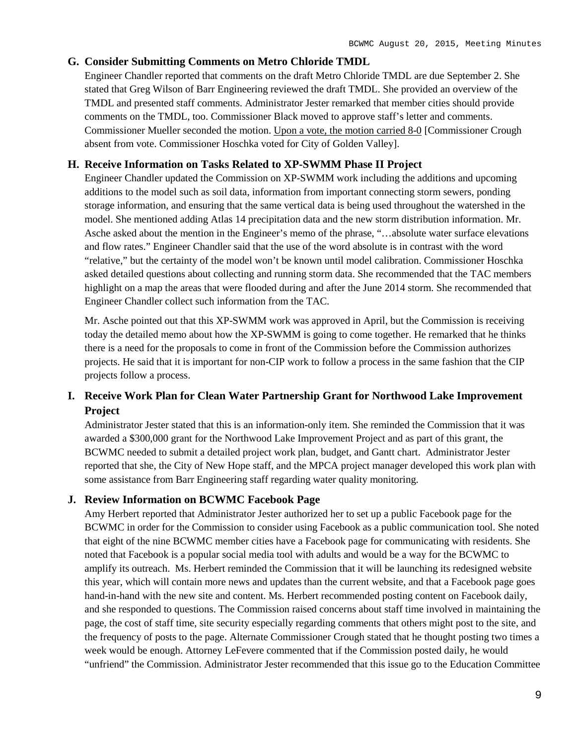### **G. Consider Submitting Comments on Metro Chloride TMDL**

Engineer Chandler reported that comments on the draft Metro Chloride TMDL are due September 2. She stated that Greg Wilson of Barr Engineering reviewed the draft TMDL. She provided an overview of the TMDL and presented staff comments. Administrator Jester remarked that member cities should provide comments on the TMDL, too. Commissioner Black moved to approve staff's letter and comments. Commissioner Mueller seconded the motion. Upon a vote, the motion carried 8-0 [Commissioner Crough absent from vote. Commissioner Hoschka voted for City of Golden Valley].

### **H. Receive Information on Tasks Related to XP-SWMM Phase II Project**

Engineer Chandler updated the Commission on XP-SWMM work including the additions and upcoming additions to the model such as soil data, information from important connecting storm sewers, ponding storage information, and ensuring that the same vertical data is being used throughout the watershed in the model. She mentioned adding Atlas 14 precipitation data and the new storm distribution information. Mr. Asche asked about the mention in the Engineer's memo of the phrase, "…absolute water surface elevations and flow rates." Engineer Chandler said that the use of the word absolute is in contrast with the word "relative," but the certainty of the model won't be known until model calibration. Commissioner Hoschka asked detailed questions about collecting and running storm data. She recommended that the TAC members highlight on a map the areas that were flooded during and after the June 2014 storm. She recommended that Engineer Chandler collect such information from the TAC.

Mr. Asche pointed out that this XP-SWMM work was approved in April, but the Commission is receiving today the detailed memo about how the XP-SWMM is going to come together. He remarked that he thinks there is a need for the proposals to come in front of the Commission before the Commission authorizes projects. He said that it is important for non-CIP work to follow a process in the same fashion that the CIP projects follow a process.

### **I. Receive Work Plan for Clean Water Partnership Grant for Northwood Lake Improvement Project**

Administrator Jester stated that this is an information-only item. She reminded the Commission that it was awarded a \$300,000 grant for the Northwood Lake Improvement Project and as part of this grant, the BCWMC needed to submit a detailed project work plan, budget, and Gantt chart. Administrator Jester reported that she, the City of New Hope staff, and the MPCA project manager developed this work plan with some assistance from Barr Engineering staff regarding water quality monitoring.

### **J. Review Information on BCWMC Facebook Page**

Amy Herbert reported that Administrator Jester authorized her to set up a public Facebook page for the BCWMC in order for the Commission to consider using Facebook as a public communication tool. She noted that eight of the nine BCWMC member cities have a Facebook page for communicating with residents. She noted that Facebook is a popular social media tool with adults and would be a way for the BCWMC to amplify its outreach. Ms. Herbert reminded the Commission that it will be launching its redesigned website this year, which will contain more news and updates than the current website, and that a Facebook page goes hand-in-hand with the new site and content. Ms. Herbert recommended posting content on Facebook daily, and she responded to questions. The Commission raised concerns about staff time involved in maintaining the page, the cost of staff time, site security especially regarding comments that others might post to the site, and the frequency of posts to the page. Alternate Commissioner Crough stated that he thought posting two times a week would be enough. Attorney LeFevere commented that if the Commission posted daily, he would "unfriend" the Commission. Administrator Jester recommended that this issue go to the Education Committee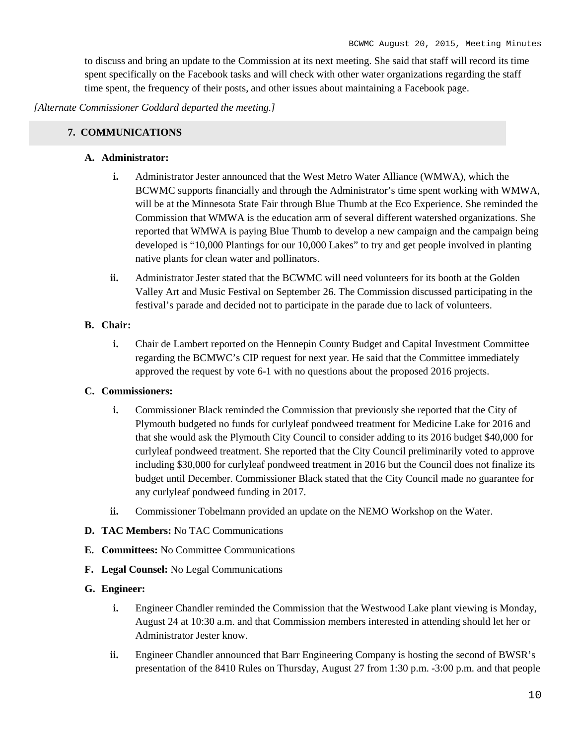to discuss and bring an update to the Commission at its next meeting. She said that staff will record its time spent specifically on the Facebook tasks and will check with other water organizations regarding the staff time spent, the frequency of their posts, and other issues about maintaining a Facebook page.

*[Alternate Commissioner Goddard departed the meeting.]*

### **7. COMMUNICATIONS**

### **A. Administrator:**

- **i.** Administrator Jester announced that the West Metro Water Alliance (WMWA), which the BCWMC supports financially and through the Administrator's time spent working with WMWA, will be at the Minnesota State Fair through Blue Thumb at the Eco Experience. She reminded the Commission that WMWA is the education arm of several different watershed organizations. She reported that WMWA is paying Blue Thumb to develop a new campaign and the campaign being developed is "10,000 Plantings for our 10,000 Lakes" to try and get people involved in planting native plants for clean water and pollinators.
- **ii.** Administrator Jester stated that the BCWMC will need volunteers for its booth at the Golden Valley Art and Music Festival on September 26. The Commission discussed participating in the festival's parade and decided not to participate in the parade due to lack of volunteers.

### **B. Chair:**

**i.** Chair de Lambert reported on the Hennepin County Budget and Capital Investment Committee regarding the BCMWC's CIP request for next year. He said that the Committee immediately approved the request by vote 6-1 with no questions about the proposed 2016 projects.

### **C. Commissioners:**

- **i.** Commissioner Black reminded the Commission that previously she reported that the City of Plymouth budgeted no funds for curlyleaf pondweed treatment for Medicine Lake for 2016 and that she would ask the Plymouth City Council to consider adding to its 2016 budget \$40,000 for curlyleaf pondweed treatment. She reported that the City Council preliminarily voted to approve including \$30,000 for curlyleaf pondweed treatment in 2016 but the Council does not finalize its budget until December. Commissioner Black stated that the City Council made no guarantee for any curlyleaf pondweed funding in 2017.
- **ii.** Commissioner Tobelmann provided an update on the NEMO Workshop on the Water.
- **D. TAC Members:** No TAC Communications
- **E. Committees:** No Committee Communications
- **F. Legal Counsel:** No Legal Communications

### **G. Engineer:**

- **i.** Engineer Chandler reminded the Commission that the Westwood Lake plant viewing is Monday, August 24 at 10:30 a.m. and that Commission members interested in attending should let her or Administrator Jester know.
- **ii.** Engineer Chandler announced that Barr Engineering Company is hosting the second of BWSR's presentation of the 8410 Rules on Thursday, August 27 from 1:30 p.m. -3:00 p.m. and that people